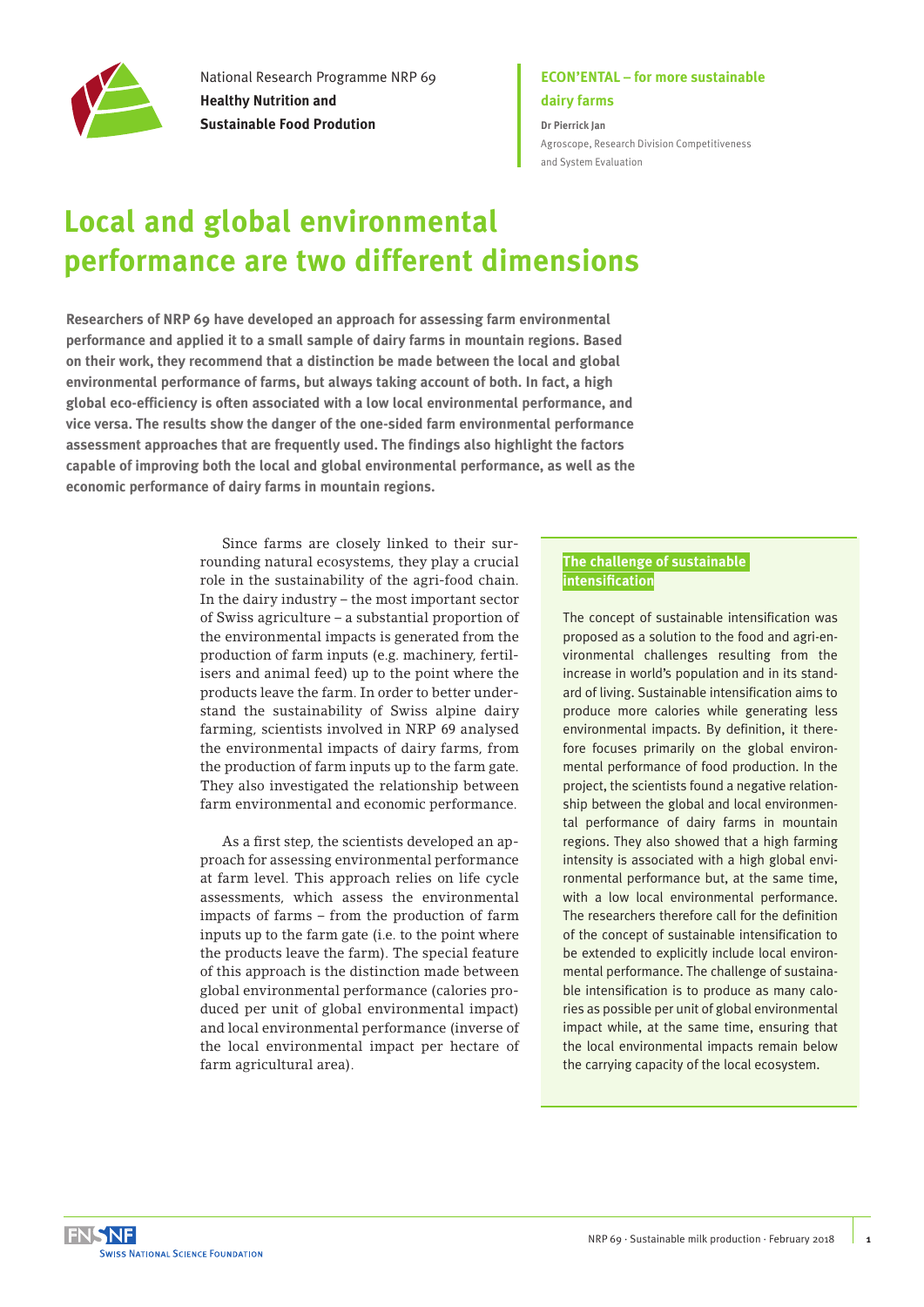

National Research Programme NRP 69 **Healthy Nutrition and Sustainable Food Prodution**

## **ECON'ENTAL – for more sustainable dairy farms**

**Dr Pierrick Jan** [Agroscope, Research Division Competitiveness](https://www.agroscope.admin.ch/agroscope/en/home/about-us/organization/competence-divisions-strategic-research-divisions/competitiveness-system-evaluation%20.html)  [and System Evaluation](https://www.agroscope.admin.ch/agroscope/en/home/about-us/organization/competence-divisions-strategic-research-divisions/competitiveness-system-evaluation%20.html)

# **Local and global environmental performance are two different dimensions**

**Researchers of NRP 69 have developed an approach for assessing farm environmental performance and applied it to a small sample of dairy farms in mountain regions. Based on their work, they recommend that a distinction be made between the local and global environmental performance of farms, but always taking account of both. In fact, a high global eco-efficiency is often associated with a low local environmental performance, and vice versa. The results show the danger of the one-sided farm environmental performance assessment approaches that are frequently used. The findings also highlight the factors capable of improving both the local and global environmental performance, as well as the economic performance of dairy farms in mountain regions.** 

> Since farms are closely linked to their surrounding natural ecosystems, they play a crucial role in the sustainability of the agri-food chain. In the dairy industry – the most important sector of Swiss agriculture – a substantial proportion of the environmental impacts is generated from the production of farm inputs (e.g. machinery, fertilisers and animal feed) up to the point where the products leave the farm. In order to better understand the sustainability of Swiss alpine dairy farming, scientists involved in NRP 69 analysed the environmental impacts of dairy farms, from the production of farm inputs up to the farm gate. They also investigated the relationship between farm environmental and economic performance.

> As a first step, the scientists developed an approach for assessing environmental performance at farm level. This approach relies on life cycle assessments, which assess the environmental impacts of farms – from the production of farm inputs up to the farm gate (i.e. to the point where the products leave the farm). The special feature of this approach is the distinction made between global environmental performance (calories produced per unit of global environmental impact) and local environmental performance (inverse of the local environmental impact per hectare of farm agricultural area).

### **The challenge of sustainable intensification**

The concept of sustainable intensification was proposed as a solution to the food and agri-environmental challenges resulting from the increase in world's population and in its standard of living. Sustainable intensification aims to produce more calories while generating less environmental impacts. By definition, it therefore focuses primarily on the global environmental performance of food production. In the project, the scientists found a negative relationship between the global and local environmental performance of dairy farms in mountain regions. They also showed that a high farming intensity is associated with a high global environmental performance but, at the same time, with a low local environmental performance. The researchers therefore call for the definition of the concept of sustainable intensification to be extended to explicitly include local environmental performance. The challenge of sustainable intensification is to produce as many calories as possible per unit of global environmental impact while, at the same time, ensuring that the local environmental impacts remain below the carrying capacity of the local ecosystem.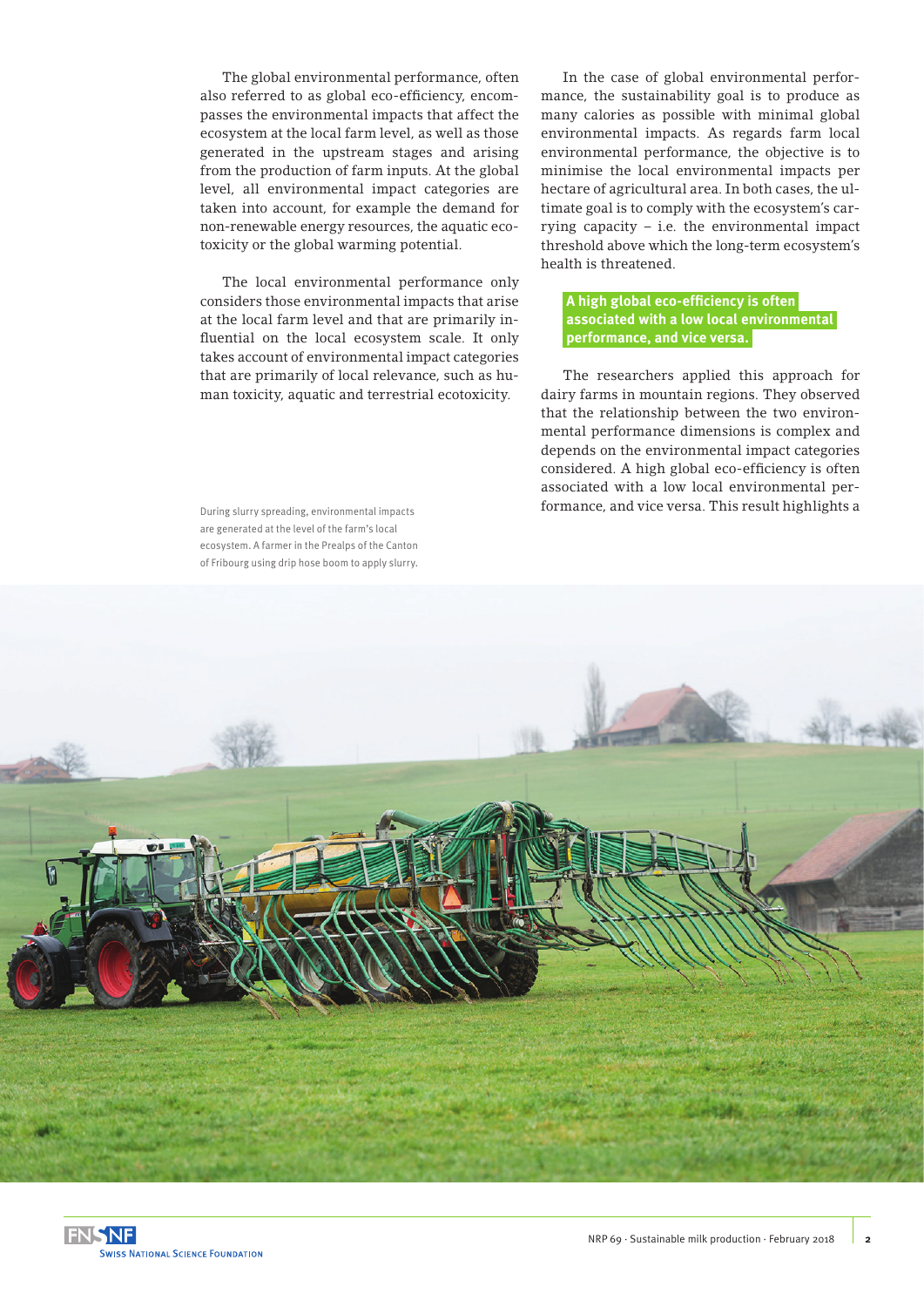The global environmental performance, often also referred to as global eco-efficiency, encompasses the environmental impacts that affect the ecosystem at the local farm level, as well as those generated in the upstream stages and arising from the production of farm inputs. At the global level, all environmental impact categories are taken into account, for example the demand for non-renewable energy resources, the aquatic ecotoxicity or the global warming potential.

The local environmental performance only considers those environmental impacts that arise at the local farm level and that are primarily influential on the local ecosystem scale. It only takes account of environmental impact categories that are primarily of local relevance, such as human toxicity, aquatic and terrestrial ecotoxicity.

During slurry spreading, environmental impacts are generated at the level of the farm's local ecosystem. A farmer in the Prealps of the Canton of Fribourg using drip hose boom to apply slurry.

In the case of global environmental performance, the sustainability goal is to produce as many calories as possible with minimal global environmental impacts. As regards farm local environmental performance, the objective is to minimise the local environmental impacts per hectare of agricultural area. In both cases, the ultimate goal is to comply with the ecosystem's carrying capacity – i.e. the environmental impact threshold above which the long-term ecosystem's health is threatened.

#### **A high global eco-efficiency is often associated with a low local environmental performance, and vice versa.**

The researchers applied this approach for dairy farms in mountain regions. They observed that the relationship between the two environmental performance dimensions is complex and depends on the environmental impact categories considered. A high global eco-efficiency is often associated with a low local environmental performance, and vice versa. This result highlights a